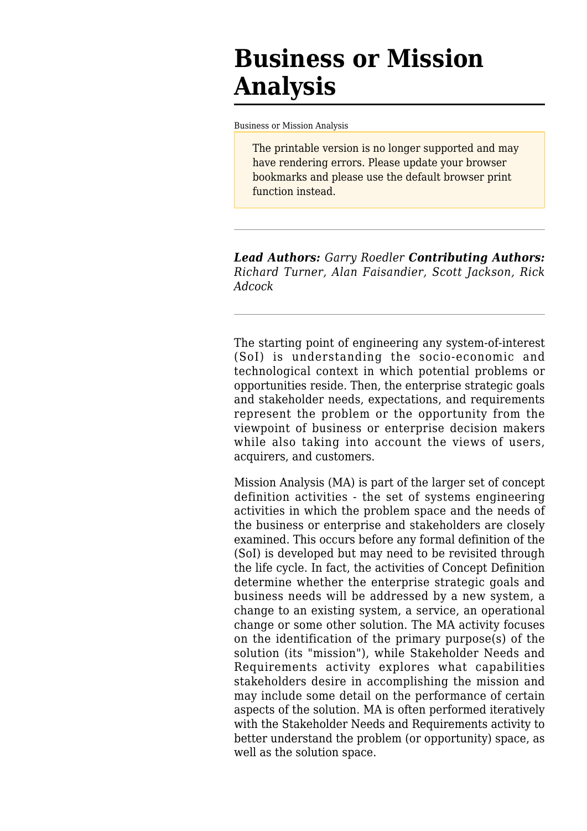# **Business or Mission Analysis**

[Business or Mission Analysis](http://sebokwiki.org/wiki/Business_or_Mission_Analysis)

The printable version is no longer supported and may have rendering errors. Please update your browser bookmarks and please use the default browser print function instead.

*Lead Authors: Garry Roedler Contributing Authors: Richard Turner, Alan Faisandier, Scott Jackson, Rick Adcock*

The starting point of engineering any system-of-interest (SoI) is understanding the socio-economic and technological context in which potential problems or opportunities reside. Then, the enterprise strategic goals and stakeholder needs, expectations, and requirements represent the problem or the opportunity from the viewpoint of business or enterprise decision makers while also taking into account the views of users, acquirers, and customers.

Mission Analysis (MA) is part of the larger set of concept definition activities - the set of systems engineering activities in which the problem space and the needs of the business or enterprise and stakeholders are closely examined. This occurs before any formal definition of the (SoI) is developed but may need to be revisited through the life cycle. In fact, the activities of Concept Definition determine whether the enterprise strategic goals and business needs will be addressed by a new system, a change to an existing system, a service, an operational change or some other solution. The MA activity focuses on the identification of the primary purpose(s) of the solution (its "mission"), while [Stakeholder Needs and](http://sebokwiki.org/wiki/Stakeholder_Needs_and_Requirements) [Requirements](http://sebokwiki.org/wiki/Stakeholder_Needs_and_Requirements) activity explores what capabilities stakeholders desire in accomplishing the mission and may include some detail on the performance of certain aspects of the solution. MA is often performed iteratively with the [Stakeholder Needs and Requirements](http://sebokwiki.org/wiki/Stakeholder_Needs_and_Requirements) activity to better understand the problem (or opportunity) space, as well as the solution space.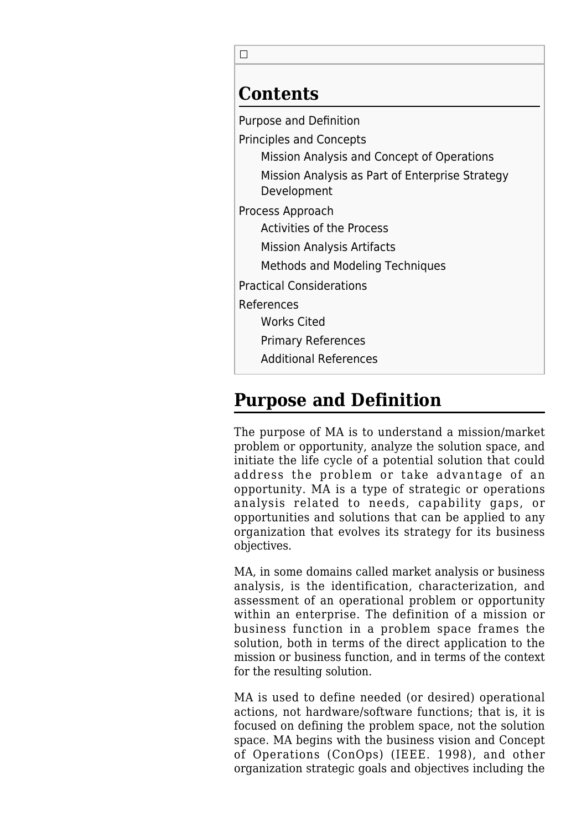$\Box$ 

### **Contents**

[Purpose and Definition](#page--1-0)

[Principles and Concepts](#page--1-0)

[Mission Analysis and Concept of Operations](#page--1-0)

[Mission Analysis as Part of Enterprise Strategy](#page--1-0) [Development](#page--1-0)

[Process Approach](#page--1-0)

[Activities of the Process](#page--1-0)

[Mission Analysis Artifacts](#page--1-0)

[Methods and Modeling Techniques](#page--1-0)

[Practical Considerations](#page--1-0)

[References](#page--1-0)

[Works Cited](#page--1-0)

[Primary References](#page--1-0)

[Additional References](#page--1-0)

## **Purpose and Definition**

The purpose of MA is to understand a mission/market problem or opportunity, analyze the solution space, and initiate the life cycle of a potential solution that could address the problem or take advantage of an opportunity. MA is a type of strategic or operations analysis related to needs, capability gaps, or opportunities and solutions that can be applied to any organization that evolves its strategy for its business objectives.

MA, in some domains called market analysis or business analysis, is the identification, characterization, and assessment of an operational problem or opportunity within an enterprise. The definition of a mission or business function in a problem space frames the solution, both in terms of the direct application to the mission or business function, and in terms of the context for the resulting solution.

MA is used to define needed (or desired) operational actions, not hardware/software functions; that is, it is focused on defining the problem space, not the solution space. MA begins with the business vision and Concept of Operations (ConOps) (IEEE. 1998), and other organization strategic goals and objectives including the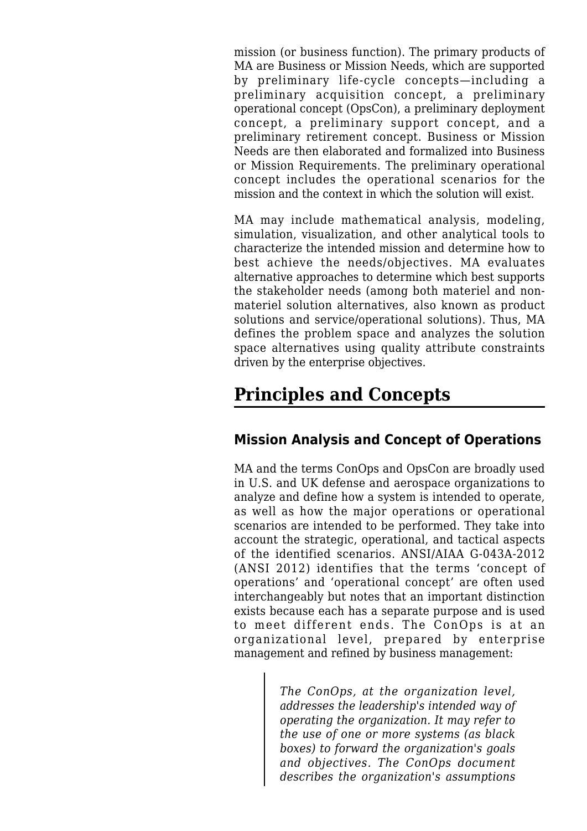mission (or business function). The primary products of MA are Business or Mission Needs, which are supported by preliminary life-cycle concepts—including a preliminary acquisition concept, a preliminary operational concept (OpsCon), a preliminary deployment concept, a preliminary support concept, and a preliminary retirement concept. Business or Mission Needs are then elaborated and formalized into Business or Mission Requirements. The preliminary operational concept includes the operational scenarios for the mission and the context in which the solution will exist.

MA may include mathematical analysis, modeling, simulation, visualization, and other analytical tools to characterize the intended mission and determine how to best achieve the needs/objectives. MA evaluates alternative approaches to determine which best supports the stakeholder needs (among both materiel and nonmateriel solution alternatives, also known as product solutions and service/operational solutions). Thus, MA defines the problem space and analyzes the solution space alternatives using quality attribute constraints driven by the enterprise objectives.

## **Principles and Concepts**

### **Mission Analysis and Concept of Operations**

MA and the terms ConOps and OpsCon are broadly used in U.S. and UK defense and aerospace organizations to analyze and define how a system is intended to operate, as well as how the major operations or operational scenarios are intended to be performed. They take into account the strategic, operational, and tactical aspects of the identified scenarios. ANSI/AIAA G-043A-2012 (ANSI 2012) identifies that the terms 'concept of operations' and 'operational concept' are often used interchangeably but notes that an important distinction exists because each has a separate purpose and is used to meet different ends. The ConOps is at an organizational level, prepared by enterprise management and refined by business management:

> *The ConOps, at the organization level, addresses the leadership's intended way of operating the organization. It may refer to the use of one or more systems (as black boxes) to forward the organization's goals and objectives. The ConOps document describes the organization's assumptions*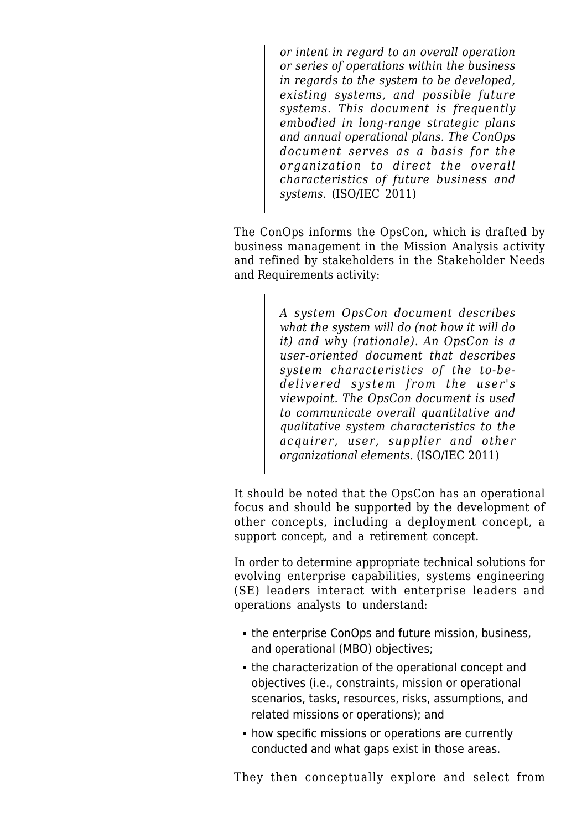*or intent in regard to an overall operation or series of operations within the business in regards to the system to be developed, existing systems, and possible future systems. This document is frequently embodied in long-range strategic plans and annual operational plans. The ConOps document serves as a basis for the organization to direct the overall characteristics of future business and systems.* (ISO/IEC 2011)

The ConOps informs the OpsCon, which is drafted by business management in the Mission Analysis activity and refined by stakeholders in the [Stakeholder Needs](http://sebokwiki.org/wiki/Stakeholder_Needs_and_Requirements) [and Requirements](http://sebokwiki.org/wiki/Stakeholder_Needs_and_Requirements) activity:

> *A system OpsCon document describes what the system will do (not how it will do it) and why (rationale). An OpsCon is a user-oriented document that describes system characteristics of the to-bedelivered system from the user's viewpoint. The OpsCon document is used to communicate overall quantitative and qualitative system characteristics to the acquirer, user, supplier and other organizational elements.* (ISO/IEC 2011)

It should be noted that the OpsCon has an operational focus and should be supported by the development of other concepts, including a deployment concept, a support concept, and a retirement concept.

In order to determine appropriate technical solutions for evolving enterprise capabilities, systems engineering (SE) leaders interact with enterprise leaders and operations analysts to understand:

- the enterprise ConOps and future mission, business, and operational (MBO) objectives;
- the characterization of the operational concept and objectives (i.e., constraints, mission or operational scenarios, tasks, resources, risks, assumptions, and related missions or operations); and
- how specific missions or operations are currently conducted and what gaps exist in those areas.

They then conceptually explore and select from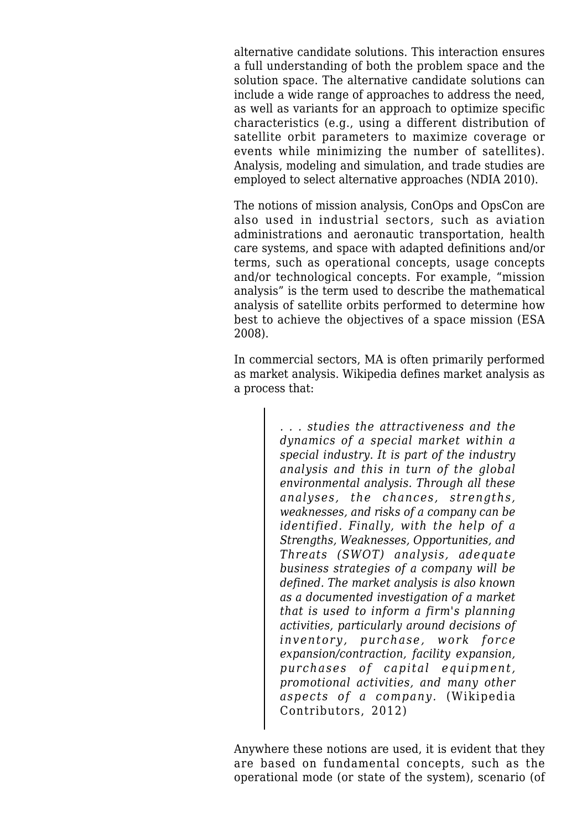alternative candidate solutions. This interaction ensures a full understanding of both the problem space and the solution space. The alternative candidate solutions can include a wide range of approaches to address the need, as well as variants for an approach to optimize specific characteristics (e.g., using a different distribution of satellite orbit parameters to maximize coverage or events while minimizing the number of satellites). Analysis, modeling and simulation, and trade studies are employed to select alternative approaches (NDIA 2010).

The notions of mission analysis, ConOps and OpsCon are also used in industrial sectors, such as aviation administrations and aeronautic transportation, health care systems, and space with adapted definitions and/or terms, such as operational concepts, usage concepts and/or technological concepts. For example, "mission analysis" is the term used to describe the mathematical analysis of satellite orbits performed to determine how best to achieve the objectives of a space mission (ESA 2008).

In commercial sectors, MA is often primarily performed as market analysis. Wikipedia defines market analysis as a process that:

> *. . . studies the attractiveness and the dynamics of a special market within a special industry. It is part of the industry analysis and this in turn of the global environmental analysis. Through all these analyses, the chances, strengths, weaknesses, and risks of a company can be identified. Finally, with the help of a Strengths, Weaknesses, Opportunities, and Threats (SWOT) analysis, adequate business strategies of a company will be defined. The market analysis is also known as a documented investigation of a market that is used to inform a firm's planning activities, particularly around decisions of inventory, purchase, work force expansion/contraction, facility expansion, purchases of capital equipment, promotional activities, and many other aspects of a company.* (Wikipedia Contributors, 2012)

Anywhere these notions are used, it is evident that they are based on fundamental concepts, such as the operational mode (or state of the system), scenario (of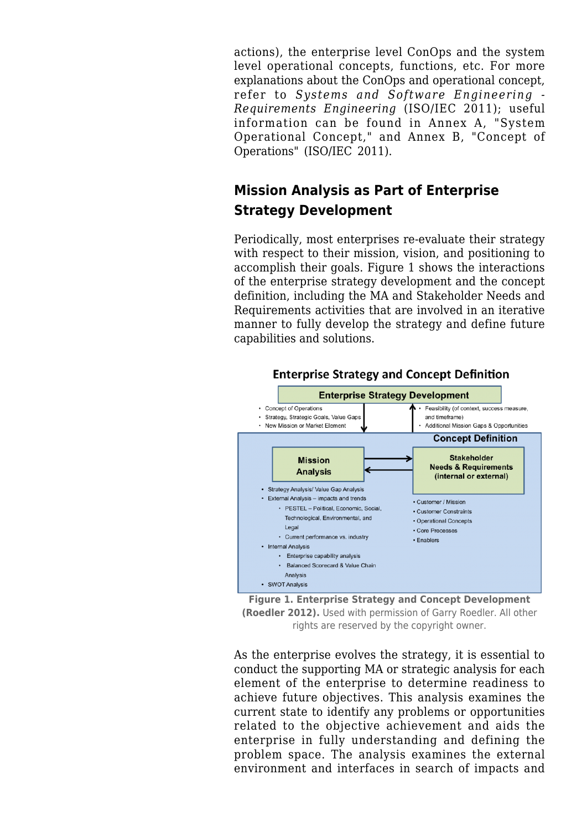actions), the enterprise level ConOps and the system level operational concepts, functions, etc. For more explanations about the ConOps and operational concept, refer to *Systems and Software Engineering - Requirements Engineering* (ISO/IEC 2011); useful information can be found in Annex A, "System Operational Concept," and Annex B, "Concept of Operations" (ISO/IEC 2011).

### **Mission Analysis as Part of Enterprise Strategy Development**

Periodically, most enterprises re-evaluate their strategy with respect to their mission, vision, and positioning to accomplish their goals. Figure 1 shows the interactions of the enterprise strategy development and the concept definition, including the MA and [Stakeholder Needs and](http://sebokwiki.org/wiki/Stakeholder_Needs_and_Requirements) [Requirements](http://sebokwiki.org/wiki/Stakeholder_Needs_and_Requirements) activities that are involved in an iterative manner to fully develop the strategy and define future capabilities and solutions.



#### **Enterprise Strategy and Concept Definition**

**Figure 1. Enterprise Strategy and Concept Development (Roedler 2012).** Used with permission of Garry Roedler. All other rights are reserved by the copyright owner.

As the enterprise evolves the strategy, it is essential to conduct the supporting MA or strategic analysis for each element of the enterprise to determine readiness to achieve future objectives. This analysis examines the current state to identify any problems or opportunities related to the objective achievement and aids the enterprise in fully understanding and defining the problem space. The analysis examines the external environment and interfaces in search of impacts and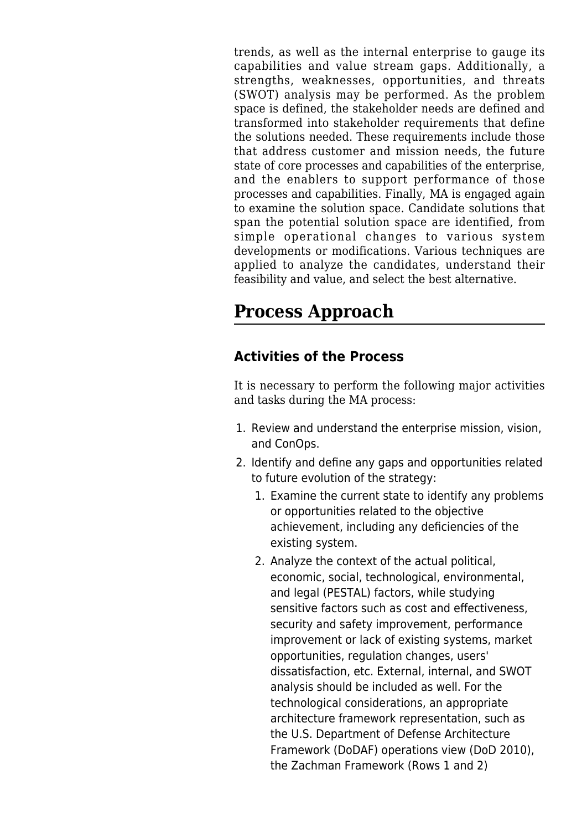trends, as well as the internal enterprise to gauge its capabilities and value stream gaps. Additionally, a strengths, weaknesses, opportunities, and threats (SWOT) analysis may be performed. As the problem space is defined, the stakeholder needs are defined and transformed into stakeholder requirements that define the solutions needed. These requirements include those that address customer and mission needs, the future state of core processes and capabilities of the enterprise, and the enablers to support performance of those processes and capabilities. Finally, MA is engaged again to examine the solution space. Candidate solutions that span the potential solution space are identified, from simple operational changes to various system developments or modifications. Various techniques are applied to analyze the candidates, understand their feasibility and value, and select the best alternative.

## **Process Approach**

### **Activities of the Process**

It is necessary to perform the following major activities and tasks during the MA process:

- 1. Review and understand the enterprise mission, vision, and ConOps.
- 2. Identify and define any gaps and opportunities related to future evolution of the strategy:
	- 1. Examine the current state to identify any problems or opportunities related to the objective achievement, including any deficiencies of the existing system.
	- 2. Analyze the context of the actual political, economic, social, technological, environmental, and legal (PESTAL) factors, while studying sensitive factors such as cost and effectiveness, security and safety improvement, performance improvement or lack of existing systems, market opportunities, regulation changes, users' dissatisfaction, etc. External, internal, and SWOT analysis should be included as well. For the technological considerations, an appropriate architecture framework representation, such as the U.S. Department of Defense Architecture Framework (DoDAF) operations view (DoD 2010), the Zachman Framework (Rows 1 and 2)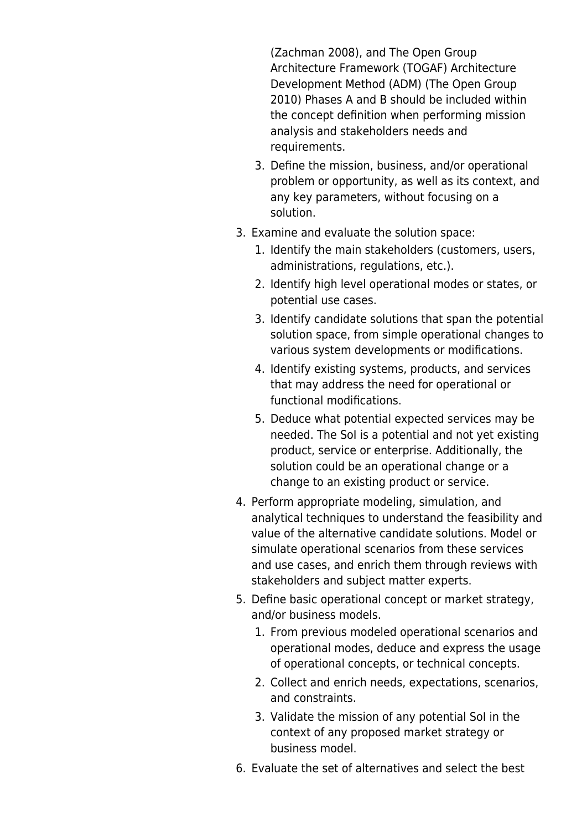(Zachman 2008), and The Open Group Architecture Framework (TOGAF) Architecture Development Method (ADM) (The Open Group 2010) Phases A and B should be included within the concept definition when performing mission analysis and stakeholders needs and requirements.

- 3. Define the mission, business, and/or operational problem or opportunity, as well as its context, and any key parameters, without focusing on a solution.
- 3. Examine and evaluate the solution space:
	- 1. Identify the main stakeholders (customers, users, administrations, regulations, etc.).
	- 2. Identify high level operational modes or states, or potential use cases.
	- 3. Identify candidate solutions that span the potential solution space, from simple operational changes to various system developments or modifications.
	- 4. Identify existing systems, products, and services that may address the need for operational or functional modifications.
	- 5. Deduce what potential expected services may be needed. The SoI is a potential and not yet existing product, service or enterprise. Additionally, the solution could be an operational change or a change to an existing product or service.
- 4. Perform appropriate modeling, simulation, and analytical techniques to understand the feasibility and value of the alternative candidate solutions. Model or simulate operational scenarios from these services and use cases, and enrich them through reviews with stakeholders and subject matter experts.
- 5. Define basic operational concept or market strategy, and/or business models.
	- 1. From previous modeled operational scenarios and operational modes, deduce and express the usage of operational concepts, or technical concepts.
	- 2. Collect and enrich needs, expectations, scenarios, and constraints.
	- 3. Validate the mission of any potential SoI in the context of any proposed market strategy or business model.
- 6. Evaluate the set of alternatives and select the best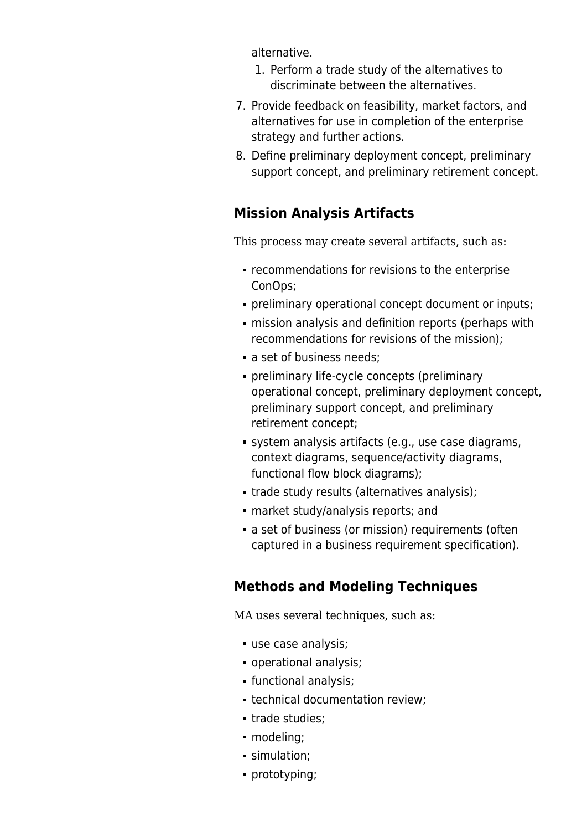alternative.

- 1. Perform a trade study of the alternatives to discriminate between the alternatives.
- 7. Provide feedback on feasibility, market factors, and alternatives for use in completion of the enterprise strategy and further actions.
- 8. Define preliminary deployment concept, preliminary support concept, and preliminary retirement concept.

### **Mission Analysis Artifacts**

This process may create several artifacts, such as:

- recommendations for revisions to the enterprise ConOps;
- preliminary operational concept document or inputs;
- mission analysis and definition reports (perhaps with recommendations for revisions of the mission);
- a set of business needs:
- preliminary life-cycle concepts (preliminary operational concept, preliminary deployment concept, preliminary support concept, and preliminary retirement concept;
- [system analysis](http://sebokwiki.org/wiki/System_Analysis) artifacts (e.g., use case diagrams, context diagrams, sequence/activity diagrams, functional flow block diagrams);
- trade study results (alternatives analysis);
- market study/analysis reports; and
- a set of business (or mission) requirements (often captured in a business requirement specification).

### **Methods and Modeling Techniques**

MA uses several techniques, such as:

- use case analysis;
- operational analysis;
- functional analysis;
- technical documentation review;
- trade studies;
- modeling;
- simulation:
- prototyping;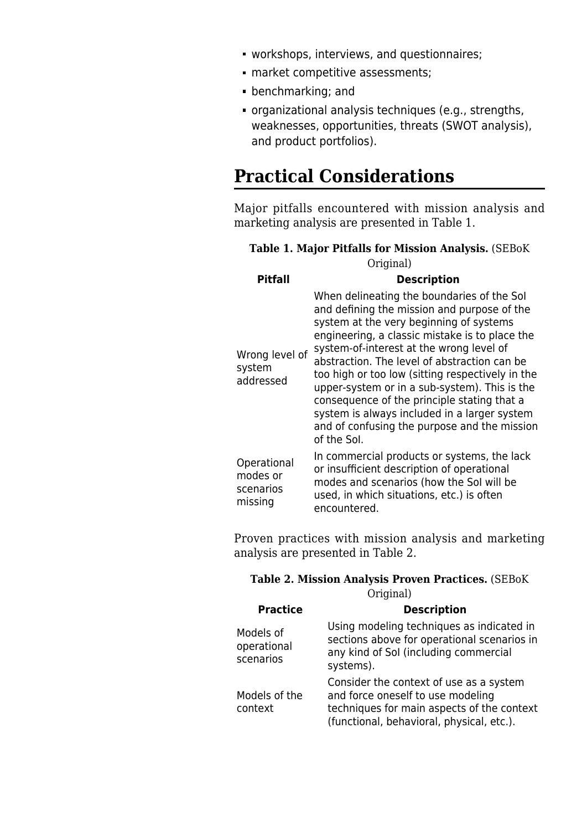- workshops, interviews, and questionnaires;
- market competitive assessments;
- benchmarking; and
- organizational analysis techniques (e.g., strengths, weaknesses, opportunities, threats (SWOT analysis), and product portfolios).

### **Practical Considerations**

Major pitfalls encountered with mission analysis and marketing analysis are presented in Table 1.

#### **Table 1. Major Pitfalls for Mission Analysis.** (SEBoK Original)

| <b>Pitfall</b>                                  | <b>Description</b>                                                                                                                                                                                                                                                                                                                                                                                                                                                                                                                                    |
|-------------------------------------------------|-------------------------------------------------------------------------------------------------------------------------------------------------------------------------------------------------------------------------------------------------------------------------------------------------------------------------------------------------------------------------------------------------------------------------------------------------------------------------------------------------------------------------------------------------------|
| Wrong level of<br>system<br>addressed           | When delineating the boundaries of the Sol<br>and defining the mission and purpose of the<br>system at the very beginning of systems<br>engineering, a classic mistake is to place the<br>system-of-interest at the wrong level of<br>abstraction. The level of abstraction can be<br>too high or too low (sitting respectively in the<br>upper-system or in a sub-system). This is the<br>consequence of the principle stating that a<br>system is always included in a larger system<br>and of confusing the purpose and the mission<br>of the Sol. |
| Operational<br>modes or<br>scenarios<br>missing | In commercial products or systems, the lack<br>or insufficient description of operational<br>modes and scenarios (how the Sol will be<br>used, in which situations, etc.) is often<br>encountered.                                                                                                                                                                                                                                                                                                                                                    |

Proven practices with mission analysis and marketing analysis are presented in Table 2.

#### **Table 2. Mission Analysis Proven Practices.** (SEBoK Original)

| <b>Practice</b>                       | <b>Description</b>                                                                                                                                                      |
|---------------------------------------|-------------------------------------------------------------------------------------------------------------------------------------------------------------------------|
| Models of<br>operational<br>scenarios | Using modeling techniques as indicated in<br>sections above for operational scenarios in<br>any kind of Sol (including commercial<br>systems).                          |
| Models of the<br>context              | Consider the context of use as a system<br>and force oneself to use modeling<br>techniques for main aspects of the context<br>(functional, behavioral, physical, etc.). |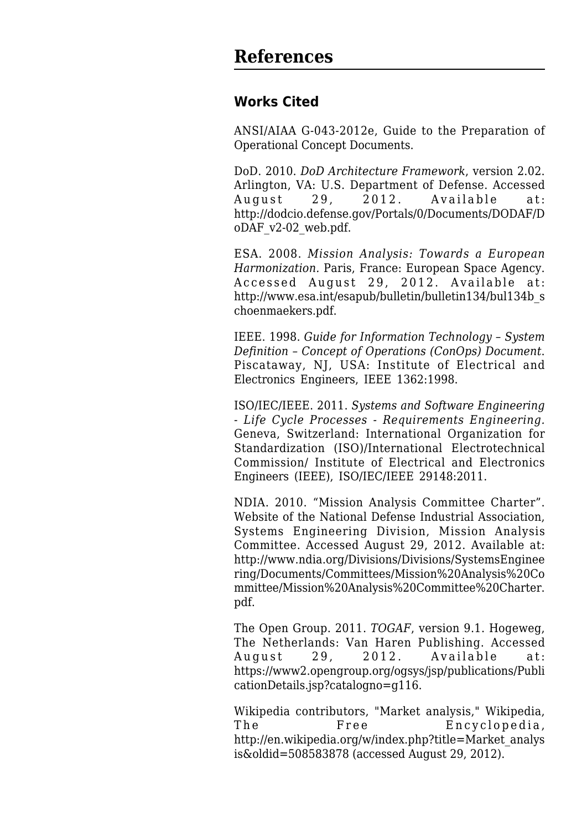### **Works Cited**

ANSI/AIAA G-043-2012e, Guide to the Preparation of Operational Concept Documents.

DoD. 2010. *DoD Architecture Framework*, version 2.02. Arlington, VA: U.S. Department of Defense. Accessed August 29, 2012. Available at: [http://dodcio.defense.gov/Portals/0/Documents/DODAF/D](http://dodcio.defense.gov/Portals/0/Documents/DODAF/DoDAF_v2-02_web.pdf) [oDAF\\_v2-02\\_web.pdf.](http://dodcio.defense.gov/Portals/0/Documents/DODAF/DoDAF_v2-02_web.pdf)

ESA. 2008. *Mission Analysis: Towards a European Harmonization.* Paris, France: European Space Agency. Accessed August 29, 2012. Available at: [http://www.esa.int/esapub/bulletin/bulletin134/bul134b\\_s](http://www.esa.int/esapub/bulletin/bulletin134/bul134b_schoenmaekers.pdf) [choenmaekers.pdf](http://www.esa.int/esapub/bulletin/bulletin134/bul134b_schoenmaekers.pdf).

IEEE. 1998. *Guide for Information Technology – System Definition – Concept of Operations (ConOps) Document*. Piscataway, NJ, USA: Institute of Electrical and Electronics Engineers, IEEE 1362:1998.

ISO/IEC/IEEE. 2011. *Systems and Software Engineering - Life Cycle Processes - Requirements Engineering.* Geneva, Switzerland: International Organization for Standardization (ISO)/International Electrotechnical Commission/ Institute of Electrical and Electronics Engineers (IEEE), ISO/IEC/IEEE 29148:2011.

NDIA. 2010. "Mission Analysis Committee Charter". Website of the National Defense Industrial Association, Systems Engineering Division, Mission Analysis Committee. Accessed August 29, 2012. Available at: [http://www.ndia.org/Divisions/Divisions/SystemsEnginee](http://www.ndia.org/Divisions/Divisions/SystemsEngineering/Documents/Committees/Mission%20Analysis%20Committee/Mission%20Analysis%20Committee%20Charter.pdf) [ring/Documents/Committees/Mission%20Analysis%20Co](http://www.ndia.org/Divisions/Divisions/SystemsEngineering/Documents/Committees/Mission%20Analysis%20Committee/Mission%20Analysis%20Committee%20Charter.pdf) [mmittee/Mission%20Analysis%20Committee%20Charter.](http://www.ndia.org/Divisions/Divisions/SystemsEngineering/Documents/Committees/Mission%20Analysis%20Committee/Mission%20Analysis%20Committee%20Charter.pdf) [pdf](http://www.ndia.org/Divisions/Divisions/SystemsEngineering/Documents/Committees/Mission%20Analysis%20Committee/Mission%20Analysis%20Committee%20Charter.pdf).

The Open Group. 2011. *TOGAF*, version 9.1. Hogeweg, The Netherlands: Van Haren Publishing. Accessed August 29, 2012. Available at: [https://www2.opengroup.org/ogsys/jsp/publications/Publi](https://www2.opengroup.org/ogsys/jsp/publications/PublicationDetails.jsp?catalogno=g116) [cationDetails.jsp?catalogno=g116.](https://www2.opengroup.org/ogsys/jsp/publications/PublicationDetails.jsp?catalogno=g116)

Wikipedia contributors, "Market analysis," Wikipedia, The Free Encyclopedia, [http://en.wikipedia.org/w/index.php?title=Market\\_analys](http://en.wikipedia.org/w/index.php?title=Market_analysis&oldid=508583878) [is&oldid=508583878](http://en.wikipedia.org/w/index.php?title=Market_analysis&oldid=508583878) (accessed August 29, 2012).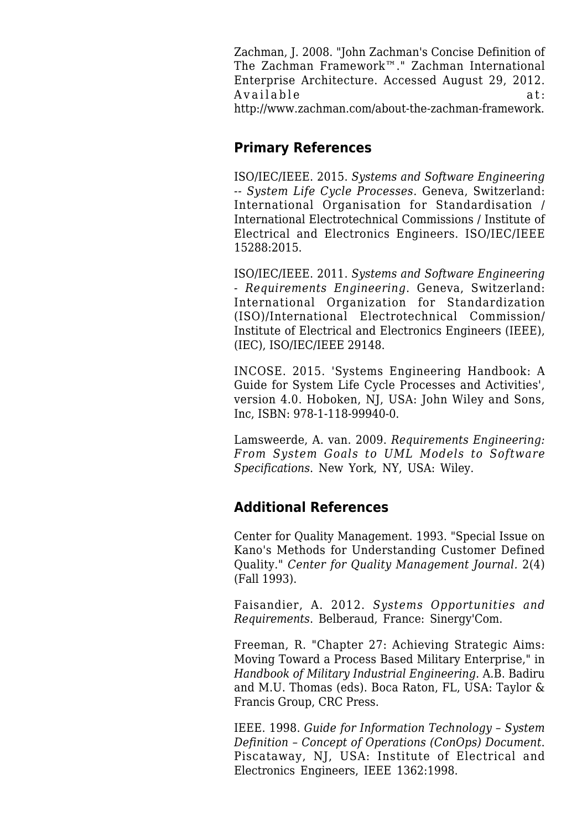Zachman, J. 2008. "John Zachman's Concise Definition of The Zachman Framework™." Zachman International Enterprise Architecture. Accessed August 29, 2012. Available at: [http://www.zachman.com/about-the-zachman-framework.](http://www.zachman.com/about-the-zachman-framework)

#### **Primary References**

ISO/IEC/IEEE. 2015. *Systems and Software Engineering -- System Life Cycle Processes*. Geneva, Switzerland: International Organisation for Standardisation / International Electrotechnical Commissions / Institute of Electrical and Electronics Engineers. ISO/IEC/IEEE 15288:2015.

ISO/IEC/IEEE. 2011. *[Systems and Software Engineering](http://sebokwiki.org/wiki/ISO/IEC/IEEE_29148) [- Requirements Engineering](http://sebokwiki.org/wiki/ISO/IEC/IEEE_29148)*. Geneva, Switzerland: International Organization for Standardization (ISO)/International Electrotechnical Commission/ Institute of Electrical and Electronics Engineers (IEEE), (IEC), [ISO/IEC/IEEE 29148](http://sebokwiki.org/wiki/ISO/IEC/IEEE_29148).

INCOSE. 2015. '[Systems Engineering Handbook:](http://sebokwiki.org/wiki/INCOSE_Systems_Engineering_Handbook) A Guide for System Life Cycle Processes and Activities', version 4.0. Hoboken, NJ, USA: John Wiley and Sons, Inc, ISBN: 978-1-118-99940-0.

Lamsweerde, A. van. 2009. *[Requirements Engineering](http://sebokwiki.org/wiki/Requirements_Engineering): From System Goals to UML Models to Software Specifications*. New York, NY, USA: Wiley.

### **Additional References**

Center for Quality Management. 1993. "Special Issue on Kano's Methods for Understanding Customer Defined Quality." *Center for Quality Management Journal.* 2(4) (Fall 1993).

Faisandier, A. 2012. *Systems Opportunities and Requirements*. Belberaud, France: Sinergy'Com.

Freeman, R. "Chapter 27: Achieving Strategic Aims: Moving Toward a Process Based Military Enterprise," in *Handbook of Military Industrial Engineering.* A.B. Badiru and M.U. Thomas (eds). Boca Raton, FL, USA: Taylor & Francis Group, CRC Press.

IEEE. 1998. *Guide for Information Technology – System Definition – Concept of Operations (ConOps) Document*. Piscataway, NJ, USA: Institute of Electrical and Electronics Engineers, IEEE 1362:1998.